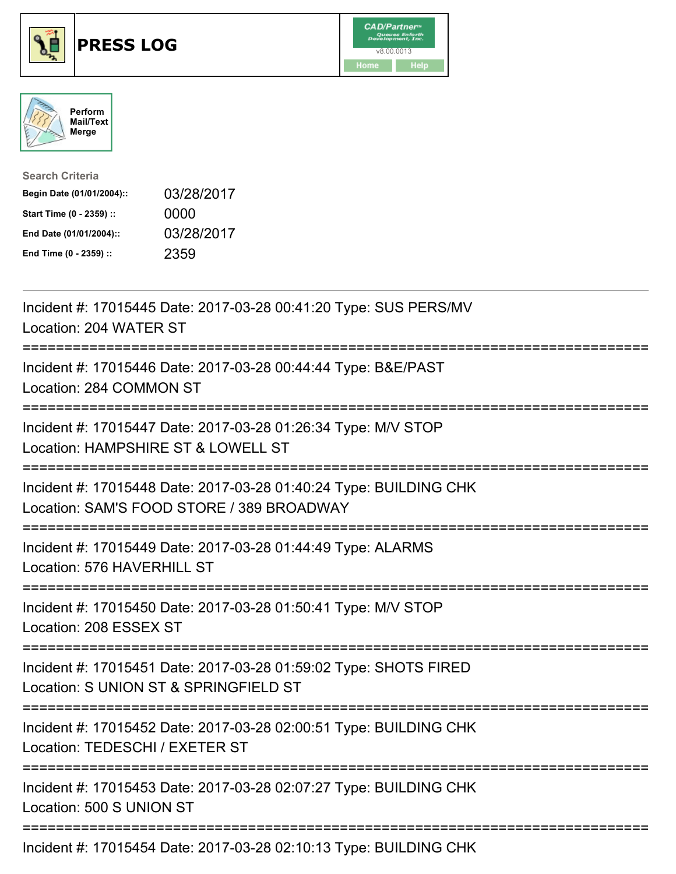





| <b>Search Criteria</b>    |            |
|---------------------------|------------|
| Begin Date (01/01/2004):: | 03/28/2017 |
| Start Time (0 - 2359) ::  | 0000       |
| End Date (01/01/2004)::   | 03/28/2017 |
| End Time (0 - 2359) ::    | 2359       |

| Incident #: 17015445 Date: 2017-03-28 00:41:20 Type: SUS PERS/MV<br>Location: 204 WATER ST<br>===============                                     |
|---------------------------------------------------------------------------------------------------------------------------------------------------|
| Incident #: 17015446 Date: 2017-03-28 00:44:44 Type: B&E/PAST<br>Location: 284 COMMON ST<br>============                                          |
| Incident #: 17015447 Date: 2017-03-28 01:26:34 Type: M/V STOP<br>Location: HAMPSHIRE ST & LOWELL ST                                               |
| Incident #: 17015448 Date: 2017-03-28 01:40:24 Type: BUILDING CHK<br>Location: SAM'S FOOD STORE / 389 BROADWAY<br>=============================== |
| Incident #: 17015449 Date: 2017-03-28 01:44:49 Type: ALARMS<br>Location: 576 HAVERHILL ST                                                         |
| Incident #: 17015450 Date: 2017-03-28 01:50:41 Type: M/V STOP<br>Location: 208 ESSEX ST<br>======================================                 |
| Incident #: 17015451 Date: 2017-03-28 01:59:02 Type: SHOTS FIRED<br>Location: S UNION ST & SPRINGFIELD ST<br>:========================            |
| Incident #: 17015452 Date: 2017-03-28 02:00:51 Type: BUILDING CHK<br>Location: TEDESCHI / EXETER ST                                               |
| Incident #: 17015453 Date: 2017-03-28 02:07:27 Type: BUILDING CHK<br>Location: 500 S UNION ST                                                     |
| Incident #: 17015454 Date: 2017-03-28 02:10:13 Type: BUILDING CHK                                                                                 |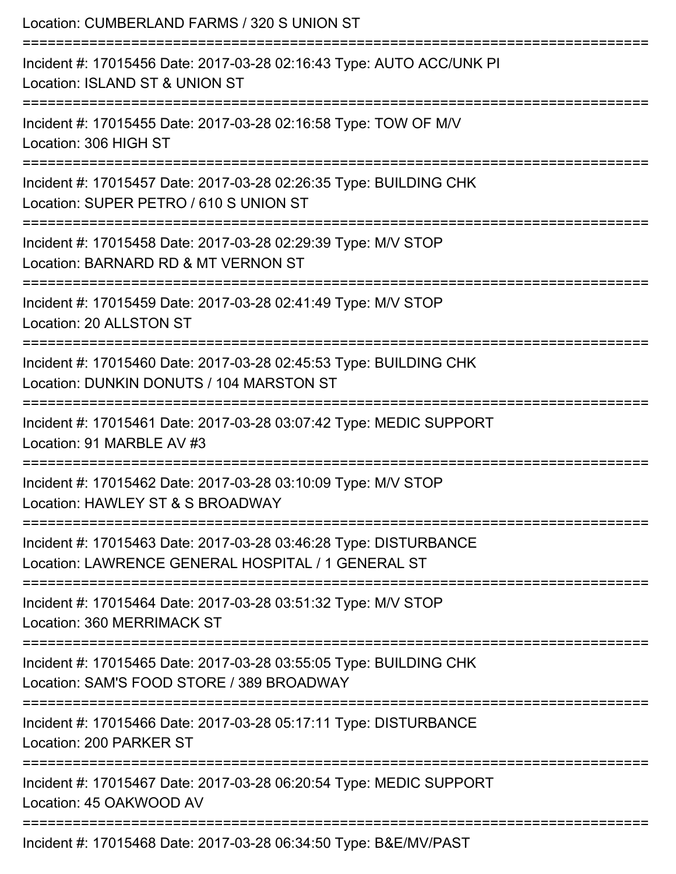| Location: CUMBERLAND FARMS / 320 S UNION ST<br>==============================                                                                 |
|-----------------------------------------------------------------------------------------------------------------------------------------------|
| Incident #: 17015456 Date: 2017-03-28 02:16:43 Type: AUTO ACC/UNK PI<br>Location: ISLAND ST & UNION ST                                        |
| Incident #: 17015455 Date: 2017-03-28 02:16:58 Type: TOW OF M/V<br>Location: 306 HIGH ST<br>=============================                     |
| Incident #: 17015457 Date: 2017-03-28 02:26:35 Type: BUILDING CHK<br>Location: SUPER PETRO / 610 S UNION ST<br>============================== |
| Incident #: 17015458 Date: 2017-03-28 02:29:39 Type: M/V STOP<br>Location: BARNARD RD & MT VERNON ST                                          |
| Incident #: 17015459 Date: 2017-03-28 02:41:49 Type: M/V STOP<br>Location: 20 ALLSTON ST                                                      |
| Incident #: 17015460 Date: 2017-03-28 02:45:53 Type: BUILDING CHK<br>Location: DUNKIN DONUTS / 104 MARSTON ST                                 |
| Incident #: 17015461 Date: 2017-03-28 03:07:42 Type: MEDIC SUPPORT<br>Location: 91 MARBLE AV #3                                               |
| Incident #: 17015462 Date: 2017-03-28 03:10:09 Type: M/V STOP<br>Location: HAWLEY ST & S BROADWAY                                             |
| Incident #: 17015463 Date: 2017-03-28 03:46:28 Type: DISTURBANCE<br>Location: LAWRENCE GENERAL HOSPITAL / 1 GENERAL ST                        |
| Incident #: 17015464 Date: 2017-03-28 03:51:32 Type: M/V STOP<br>Location: 360 MERRIMACK ST                                                   |
| Incident #: 17015465 Date: 2017-03-28 03:55:05 Type: BUILDING CHK<br>Location: SAM'S FOOD STORE / 389 BROADWAY                                |
| Incident #: 17015466 Date: 2017-03-28 05:17:11 Type: DISTURBANCE<br>Location: 200 PARKER ST                                                   |
| Incident #: 17015467 Date: 2017-03-28 06:20:54 Type: MEDIC SUPPORT<br>Location: 45 OAKWOOD AV                                                 |
| Incident #: 17015468 Date: 2017-03-28 06:34:50 Type: B&E/MV/PAST                                                                              |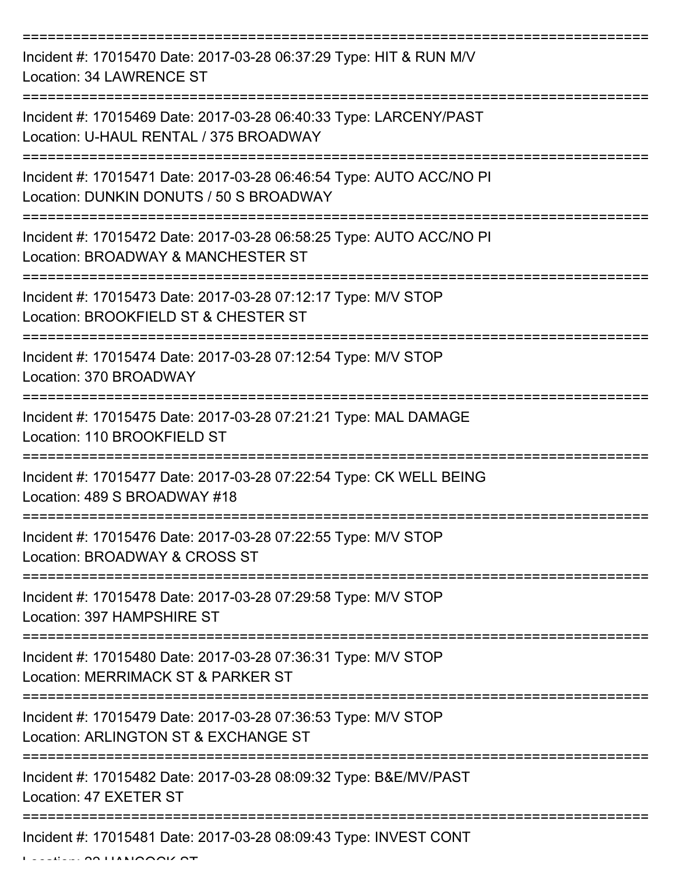| Incident #: 17015470 Date: 2017-03-28 06:37:29 Type: HIT & RUN M/V<br>Location: 34 LAWRENCE ST                            |
|---------------------------------------------------------------------------------------------------------------------------|
| Incident #: 17015469 Date: 2017-03-28 06:40:33 Type: LARCENY/PAST<br>Location: U-HAUL RENTAL / 375 BROADWAY               |
| Incident #: 17015471 Date: 2017-03-28 06:46:54 Type: AUTO ACC/NO PI<br>Location: DUNKIN DONUTS / 50 S BROADWAY            |
| Incident #: 17015472 Date: 2017-03-28 06:58:25 Type: AUTO ACC/NO PI<br>Location: BROADWAY & MANCHESTER ST                 |
| Incident #: 17015473 Date: 2017-03-28 07:12:17 Type: M/V STOP<br>Location: BROOKFIELD ST & CHESTER ST<br>===============  |
| Incident #: 17015474 Date: 2017-03-28 07:12:54 Type: M/V STOP<br>Location: 370 BROADWAY                                   |
| Incident #: 17015475 Date: 2017-03-28 07:21:21 Type: MAL DAMAGE<br>Location: 110 BROOKFIELD ST                            |
| Incident #: 17015477 Date: 2017-03-28 07:22:54 Type: CK WELL BEING<br>Location: 489 S BROADWAY #18                        |
| Incident #: 17015476 Date: 2017-03-28 07:22:55 Type: M/V STOP<br>Location: BROADWAY & CROSS ST                            |
| Incident #: 17015478 Date: 2017-03-28 07:29:58 Type: M/V STOP<br>Location: 397 HAMPSHIRE ST                               |
| Incident #: 17015480 Date: 2017-03-28 07:36:31 Type: M/V STOP<br>Location: MERRIMACK ST & PARKER ST                       |
| Incident #: 17015479 Date: 2017-03-28 07:36:53 Type: M/V STOP<br>Location: ARLINGTON ST & EXCHANGE ST                     |
| Incident #: 17015482 Date: 2017-03-28 08:09:32 Type: B&E/MV/PAST<br>Location: 47 EXETER ST                                |
| ----------------------<br>---------------------------<br>Incident #: 17015481 Date: 2017-03-28 08:09:43 Type: INVEST CONT |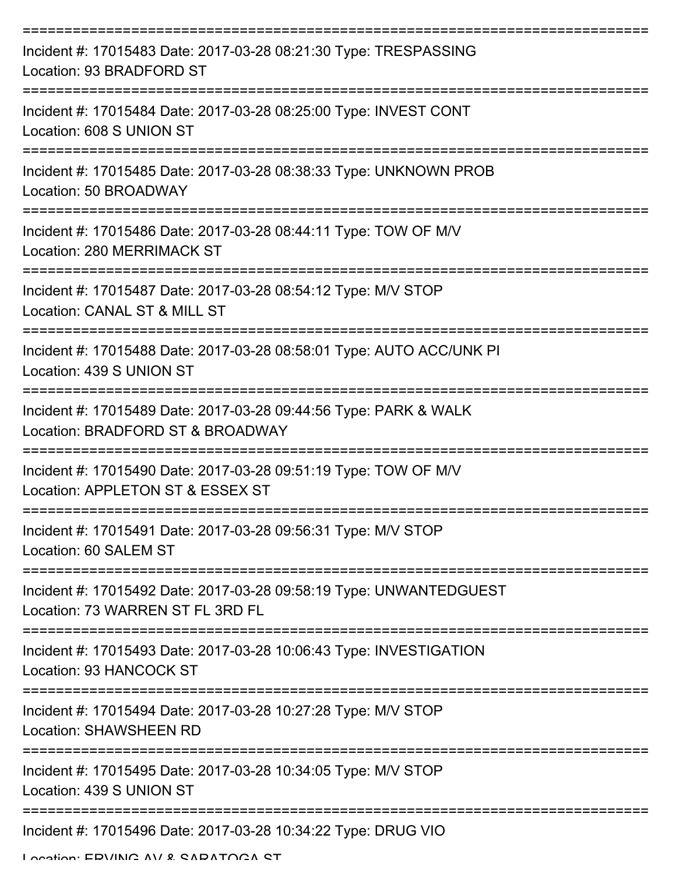| Incident #: 17015483 Date: 2017-03-28 08:21:30 Type: TRESPASSING<br>Location: 93 BRADFORD ST           |
|--------------------------------------------------------------------------------------------------------|
| Incident #: 17015484 Date: 2017-03-28 08:25:00 Type: INVEST CONT<br>Location: 608 S UNION ST           |
| Incident #: 17015485 Date: 2017-03-28 08:38:33 Type: UNKNOWN PROB<br>Location: 50 BROADWAY             |
| Incident #: 17015486 Date: 2017-03-28 08:44:11 Type: TOW OF M/V<br>Location: 280 MERRIMACK ST          |
| Incident #: 17015487 Date: 2017-03-28 08:54:12 Type: M/V STOP<br>Location: CANAL ST & MILL ST          |
| Incident #: 17015488 Date: 2017-03-28 08:58:01 Type: AUTO ACC/UNK PI<br>Location: 439 S UNION ST       |
| Incident #: 17015489 Date: 2017-03-28 09:44:56 Type: PARK & WALK<br>Location: BRADFORD ST & BROADWAY   |
| Incident #: 17015490 Date: 2017-03-28 09:51:19 Type: TOW OF M/V<br>Location: APPLETON ST & ESSEX ST    |
| Incident #: 17015491 Date: 2017-03-28 09:56:31 Type: M/V STOP<br>Location: 60 SALEM ST                 |
| Incident #: 17015492 Date: 2017-03-28 09:58:19 Type: UNWANTEDGUEST<br>Location: 73 WARREN ST FL 3RD FL |
| Incident #: 17015493 Date: 2017-03-28 10:06:43 Type: INVESTIGATION<br>Location: 93 HANCOCK ST          |
| Incident #: 17015494 Date: 2017-03-28 10:27:28 Type: M/V STOP<br><b>Location: SHAWSHEEN RD</b>         |
| Incident #: 17015495 Date: 2017-03-28 10:34:05 Type: M/V STOP<br>Location: 439 S UNION ST              |
| Incident #: 17015496 Date: 2017-03-28 10:34:22 Type: DRUG VIO                                          |

Location: ERVING AV & SARATOGA ST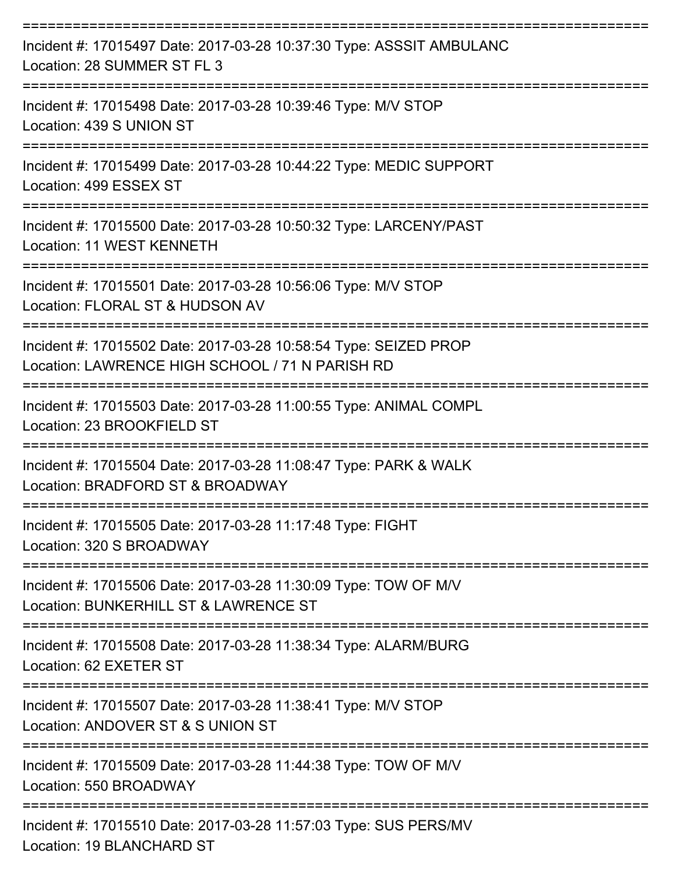| Incident #: 17015497 Date: 2017-03-28 10:37:30 Type: ASSSIT AMBULANC<br>Location: 28 SUMMER ST FL 3                 |
|---------------------------------------------------------------------------------------------------------------------|
| Incident #: 17015498 Date: 2017-03-28 10:39:46 Type: M/V STOP<br>Location: 439 S UNION ST<br>-----------------      |
| Incident #: 17015499 Date: 2017-03-28 10:44:22 Type: MEDIC SUPPORT<br>Location: 499 ESSEX ST                        |
| Incident #: 17015500 Date: 2017-03-28 10:50:32 Type: LARCENY/PAST<br>Location: 11 WEST KENNETH                      |
| Incident #: 17015501 Date: 2017-03-28 10:56:06 Type: M/V STOP<br>Location: FLORAL ST & HUDSON AV                    |
| Incident #: 17015502 Date: 2017-03-28 10:58:54 Type: SEIZED PROP<br>Location: LAWRENCE HIGH SCHOOL / 71 N PARISH RD |
| Incident #: 17015503 Date: 2017-03-28 11:00:55 Type: ANIMAL COMPL<br>Location: 23 BROOKFIELD ST                     |
| Incident #: 17015504 Date: 2017-03-28 11:08:47 Type: PARK & WALK<br>Location: BRADFORD ST & BROADWAY                |
| Incident #: 17015505 Date: 2017-03-28 11:17:48 Type: FIGHT<br>Location: 320 S BROADWAY                              |
| Incident #: 17015506 Date: 2017-03-28 11:30:09 Type: TOW OF M/V<br>Location: BUNKERHILL ST & LAWRENCE ST            |
| Incident #: 17015508 Date: 2017-03-28 11:38:34 Type: ALARM/BURG<br>Location: 62 EXETER ST                           |
| Incident #: 17015507 Date: 2017-03-28 11:38:41 Type: M/V STOP<br>Location: ANDOVER ST & S UNION ST                  |
| Incident #: 17015509 Date: 2017-03-28 11:44:38 Type: TOW OF M/V<br>Location: 550 BROADWAY                           |
| Incident #: 17015510 Date: 2017-03-28 11:57:03 Type: SUS PERS/MV<br>Location: 19 BLANCHARD ST                       |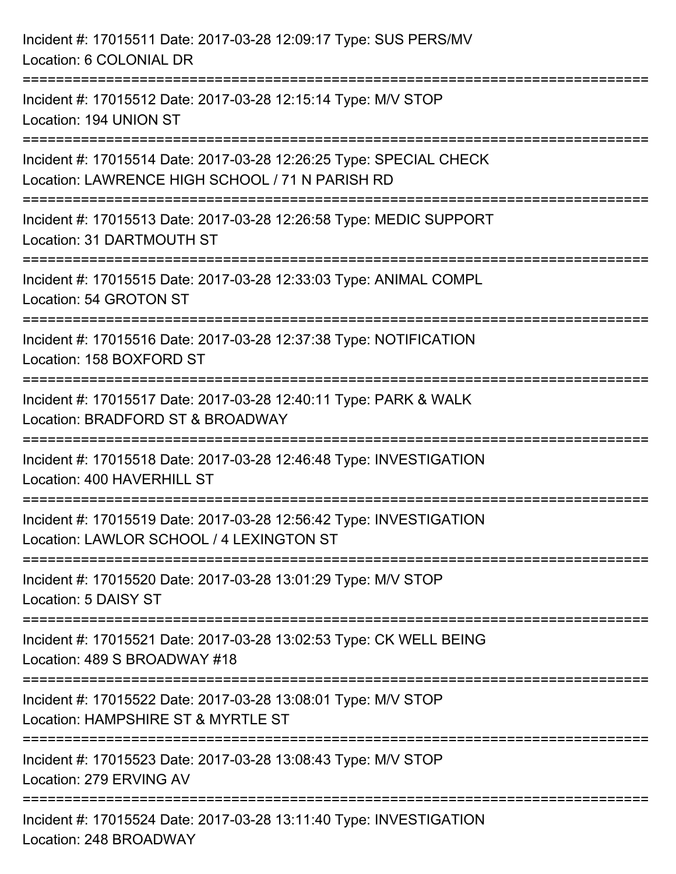| Incident #: 17015511 Date: 2017-03-28 12:09:17 Type: SUS PERS/MV<br>Location: 6 COLONIAL DR                           |
|-----------------------------------------------------------------------------------------------------------------------|
| Incident #: 17015512 Date: 2017-03-28 12:15:14 Type: M/V STOP<br>Location: 194 UNION ST                               |
| Incident #: 17015514 Date: 2017-03-28 12:26:25 Type: SPECIAL CHECK<br>Location: LAWRENCE HIGH SCHOOL / 71 N PARISH RD |
| Incident #: 17015513 Date: 2017-03-28 12:26:58 Type: MEDIC SUPPORT<br>Location: 31 DARTMOUTH ST                       |
| Incident #: 17015515 Date: 2017-03-28 12:33:03 Type: ANIMAL COMPL<br>Location: 54 GROTON ST                           |
| Incident #: 17015516 Date: 2017-03-28 12:37:38 Type: NOTIFICATION<br>Location: 158 BOXFORD ST                         |
| Incident #: 17015517 Date: 2017-03-28 12:40:11 Type: PARK & WALK<br>Location: BRADFORD ST & BROADWAY                  |
| Incident #: 17015518 Date: 2017-03-28 12:46:48 Type: INVESTIGATION<br>Location: 400 HAVERHILL ST                      |
| Incident #: 17015519 Date: 2017-03-28 12:56:42 Type: INVESTIGATION<br>Location: LAWLOR SCHOOL / 4 LEXINGTON ST        |
| Incident #: 17015520 Date: 2017-03-28 13:01:29 Type: M/V STOP<br>Location: 5 DAISY ST                                 |
| Incident #: 17015521 Date: 2017-03-28 13:02:53 Type: CK WELL BEING<br>Location: 489 S BROADWAY #18                    |
| Incident #: 17015522 Date: 2017-03-28 13:08:01 Type: M/V STOP<br>Location: HAMPSHIRE ST & MYRTLE ST                   |
| Incident #: 17015523 Date: 2017-03-28 13:08:43 Type: M/V STOP<br>Location: 279 ERVING AV                              |
| Incident #: 17015524 Date: 2017-03-28 13:11:40 Type: INVESTIGATION<br>Location: 248 BROADWAY                          |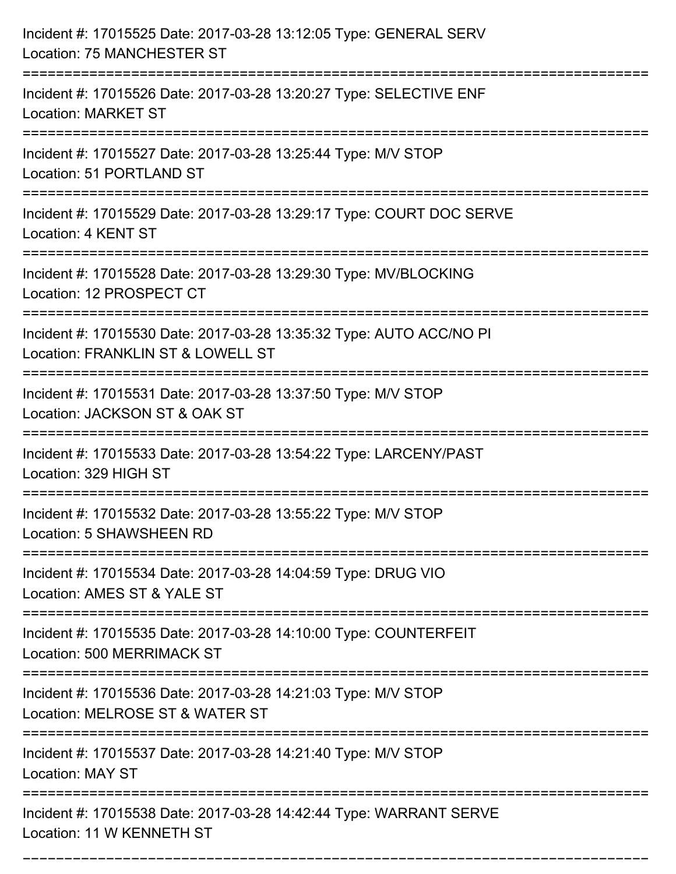| Incident #: 17015525 Date: 2017-03-28 13:12:05 Type: GENERAL SERV<br>Location: 75 MANCHESTER ST          |
|----------------------------------------------------------------------------------------------------------|
| Incident #: 17015526 Date: 2017-03-28 13:20:27 Type: SELECTIVE ENF<br><b>Location: MARKET ST</b>         |
| Incident #: 17015527 Date: 2017-03-28 13:25:44 Type: M/V STOP<br>Location: 51 PORTLAND ST                |
| Incident #: 17015529 Date: 2017-03-28 13:29:17 Type: COURT DOC SERVE<br>Location: 4 KENT ST              |
| Incident #: 17015528 Date: 2017-03-28 13:29:30 Type: MV/BLOCKING<br>Location: 12 PROSPECT CT             |
| Incident #: 17015530 Date: 2017-03-28 13:35:32 Type: AUTO ACC/NO PI<br>Location: FRANKLIN ST & LOWELL ST |
| Incident #: 17015531 Date: 2017-03-28 13:37:50 Type: M/V STOP<br>Location: JACKSON ST & OAK ST           |
| Incident #: 17015533 Date: 2017-03-28 13:54:22 Type: LARCENY/PAST<br>Location: 329 HIGH ST               |
| Incident #: 17015532 Date: 2017-03-28 13:55:22 Type: M/V STOP<br>Location: 5 SHAWSHEEN RD                |
| Incident #: 17015534 Date: 2017-03-28 14:04:59 Type: DRUG VIO<br>Location: AMES ST & YALE ST             |
| Incident #: 17015535 Date: 2017-03-28 14:10:00 Type: COUNTERFEIT<br>Location: 500 MERRIMACK ST           |
| Incident #: 17015536 Date: 2017-03-28 14:21:03 Type: M/V STOP<br>Location: MELROSE ST & WATER ST         |
| Incident #: 17015537 Date: 2017-03-28 14:21:40 Type: M/V STOP<br><b>Location: MAY ST</b>                 |
| Incident #: 17015538 Date: 2017-03-28 14:42:44 Type: WARRANT SERVE<br>Location: 11 W KENNETH ST          |

===========================================================================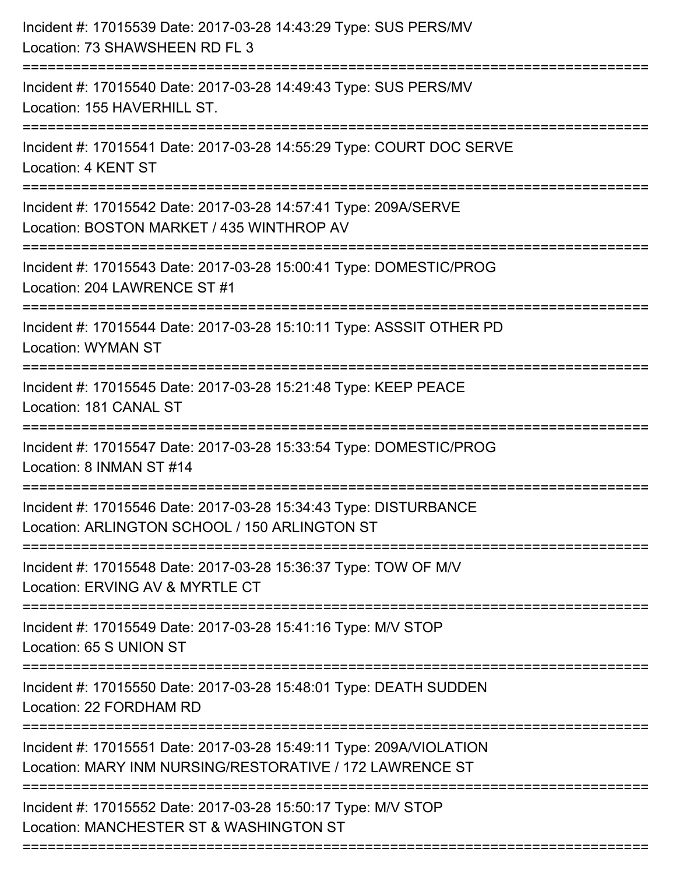| Incident #: 17015540 Date: 2017-03-28 14:49:43 Type: SUS PERS/MV<br>Location: 155 HAVERHILL ST.<br>Incident #: 17015541 Date: 2017-03-28 14:55:29 Type: COURT DOC SERVE<br>Location: 4 KENT ST<br>Incident #: 17015542 Date: 2017-03-28 14:57:41 Type: 209A/SERVE<br>Location: BOSTON MARKET / 435 WINTHROP AV<br>Incident #: 17015543 Date: 2017-03-28 15:00:41 Type: DOMESTIC/PROG<br>Location: 204 LAWRENCE ST #1<br>--------------------------<br>Incident #: 17015544 Date: 2017-03-28 15:10:11 Type: ASSSIT OTHER PD<br><b>Location: WYMAN ST</b><br>Incident #: 17015545 Date: 2017-03-28 15:21:48 Type: KEEP PEACE<br>Location: 181 CANAL ST<br>Incident #: 17015547 Date: 2017-03-28 15:33:54 Type: DOMESTIC/PROG<br>Location: 8 INMAN ST #14<br>Incident #: 17015546 Date: 2017-03-28 15:34:43 Type: DISTURBANCE<br>Location: ARLINGTON SCHOOL / 150 ARLINGTON ST<br>Incident #: 17015548 Date: 2017-03-28 15:36:37 Type: TOW OF M/V<br>Location: ERVING AV & MYRTLE CT<br>Incident #: 17015549 Date: 2017-03-28 15:41:16 Type: M/V STOP<br>Location: 65 S UNION ST<br>Incident #: 17015550 Date: 2017-03-28 15:48:01 Type: DEATH SUDDEN<br>Location: 22 FORDHAM RD<br>Incident #: 17015551 Date: 2017-03-28 15:49:11 Type: 209A/VIOLATION<br>Location: MARY INM NURSING/RESTORATIVE / 172 LAWRENCE ST<br>---------------------------<br>Incident #: 17015552 Date: 2017-03-28 15:50:17 Type: M/V STOP<br>Location: MANCHESTER ST & WASHINGTON ST | Incident #: 17015539 Date: 2017-03-28 14:43:29 Type: SUS PERS/MV<br>Location: 73 SHAWSHEEN RD FL 3<br>======================== |
|-------------------------------------------------------------------------------------------------------------------------------------------------------------------------------------------------------------------------------------------------------------------------------------------------------------------------------------------------------------------------------------------------------------------------------------------------------------------------------------------------------------------------------------------------------------------------------------------------------------------------------------------------------------------------------------------------------------------------------------------------------------------------------------------------------------------------------------------------------------------------------------------------------------------------------------------------------------------------------------------------------------------------------------------------------------------------------------------------------------------------------------------------------------------------------------------------------------------------------------------------------------------------------------------------------------------------------------------------------------------------------------------------------------------------------------------------------------|--------------------------------------------------------------------------------------------------------------------------------|
|                                                                                                                                                                                                                                                                                                                                                                                                                                                                                                                                                                                                                                                                                                                                                                                                                                                                                                                                                                                                                                                                                                                                                                                                                                                                                                                                                                                                                                                             |                                                                                                                                |
|                                                                                                                                                                                                                                                                                                                                                                                                                                                                                                                                                                                                                                                                                                                                                                                                                                                                                                                                                                                                                                                                                                                                                                                                                                                                                                                                                                                                                                                             |                                                                                                                                |
|                                                                                                                                                                                                                                                                                                                                                                                                                                                                                                                                                                                                                                                                                                                                                                                                                                                                                                                                                                                                                                                                                                                                                                                                                                                                                                                                                                                                                                                             |                                                                                                                                |
|                                                                                                                                                                                                                                                                                                                                                                                                                                                                                                                                                                                                                                                                                                                                                                                                                                                                                                                                                                                                                                                                                                                                                                                                                                                                                                                                                                                                                                                             |                                                                                                                                |
|                                                                                                                                                                                                                                                                                                                                                                                                                                                                                                                                                                                                                                                                                                                                                                                                                                                                                                                                                                                                                                                                                                                                                                                                                                                                                                                                                                                                                                                             |                                                                                                                                |
|                                                                                                                                                                                                                                                                                                                                                                                                                                                                                                                                                                                                                                                                                                                                                                                                                                                                                                                                                                                                                                                                                                                                                                                                                                                                                                                                                                                                                                                             |                                                                                                                                |
|                                                                                                                                                                                                                                                                                                                                                                                                                                                                                                                                                                                                                                                                                                                                                                                                                                                                                                                                                                                                                                                                                                                                                                                                                                                                                                                                                                                                                                                             |                                                                                                                                |
|                                                                                                                                                                                                                                                                                                                                                                                                                                                                                                                                                                                                                                                                                                                                                                                                                                                                                                                                                                                                                                                                                                                                                                                                                                                                                                                                                                                                                                                             |                                                                                                                                |
|                                                                                                                                                                                                                                                                                                                                                                                                                                                                                                                                                                                                                                                                                                                                                                                                                                                                                                                                                                                                                                                                                                                                                                                                                                                                                                                                                                                                                                                             |                                                                                                                                |
|                                                                                                                                                                                                                                                                                                                                                                                                                                                                                                                                                                                                                                                                                                                                                                                                                                                                                                                                                                                                                                                                                                                                                                                                                                                                                                                                                                                                                                                             |                                                                                                                                |
|                                                                                                                                                                                                                                                                                                                                                                                                                                                                                                                                                                                                                                                                                                                                                                                                                                                                                                                                                                                                                                                                                                                                                                                                                                                                                                                                                                                                                                                             |                                                                                                                                |
|                                                                                                                                                                                                                                                                                                                                                                                                                                                                                                                                                                                                                                                                                                                                                                                                                                                                                                                                                                                                                                                                                                                                                                                                                                                                                                                                                                                                                                                             |                                                                                                                                |
|                                                                                                                                                                                                                                                                                                                                                                                                                                                                                                                                                                                                                                                                                                                                                                                                                                                                                                                                                                                                                                                                                                                                                                                                                                                                                                                                                                                                                                                             |                                                                                                                                |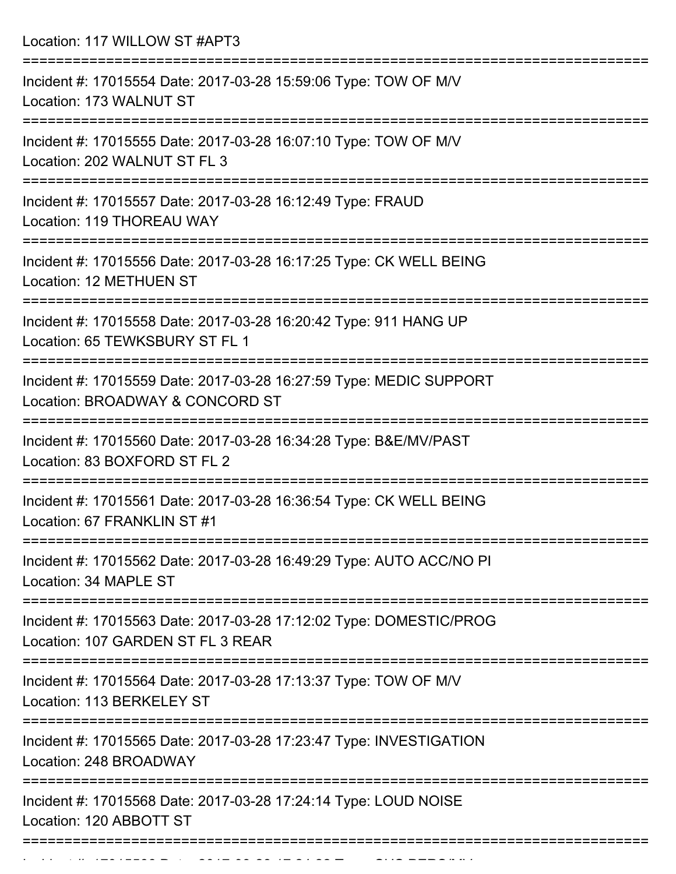Location: 117 WILLOW ST #APT3

| Incident #: 17015554 Date: 2017-03-28 15:59:06 Type: TOW OF M/V<br>Location: 173 WALNUT ST                                      |
|---------------------------------------------------------------------------------------------------------------------------------|
| Incident #: 17015555 Date: 2017-03-28 16:07:10 Type: TOW OF M/V<br>Location: 202 WALNUT ST FL 3                                 |
| Incident #: 17015557 Date: 2017-03-28 16:12:49 Type: FRAUD<br>Location: 119 THOREAU WAY                                         |
| Incident #: 17015556 Date: 2017-03-28 16:17:25 Type: CK WELL BEING<br>Location: 12 METHUEN ST                                   |
| Incident #: 17015558 Date: 2017-03-28 16:20:42 Type: 911 HANG UP<br>Location: 65 TEWKSBURY ST FL 1<br>:==============           |
| Incident #: 17015559 Date: 2017-03-28 16:27:59 Type: MEDIC SUPPORT<br>Location: BROADWAY & CONCORD ST                           |
| Incident #: 17015560 Date: 2017-03-28 16:34:28 Type: B&E/MV/PAST<br>Location: 83 BOXFORD ST FL 2                                |
| Incident #: 17015561 Date: 2017-03-28 16:36:54 Type: CK WELL BEING<br>Location: 67 FRANKLIN ST #1                               |
| Incident #: 17015562 Date: 2017-03-28 16:49:29 Type: AUTO ACC/NO PI<br>Location: 34 MAPLE ST                                    |
| ====================<br>Incident #: 17015563 Date: 2017-03-28 17:12:02 Type: DOMESTIC/PROG<br>Location: 107 GARDEN ST FL 3 REAR |
| Incident #: 17015564 Date: 2017-03-28 17:13:37 Type: TOW OF M/V<br>Location: 113 BERKELEY ST                                    |
| Incident #: 17015565 Date: 2017-03-28 17:23:47 Type: INVESTIGATION<br>Location: 248 BROADWAY                                    |
| Incident #: 17015568 Date: 2017-03-28 17:24:14 Type: LOUD NOISE<br>Location: 120 ABBOTT ST                                      |
|                                                                                                                                 |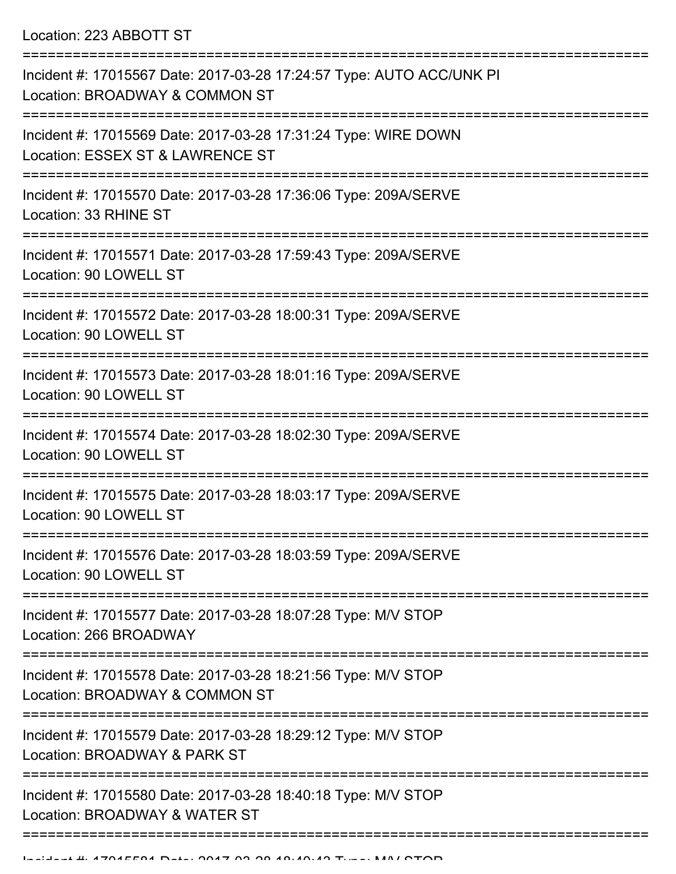Location: 223 ABBOTT ST

| Incident #: 17015567 Date: 2017-03-28 17:24:57 Type: AUTO ACC/UNK PI<br>Location: BROADWAY & COMMON ST |
|--------------------------------------------------------------------------------------------------------|
| Incident #: 17015569 Date: 2017-03-28 17:31:24 Type: WIRE DOWN<br>Location: ESSEX ST & LAWRENCE ST     |
| Incident #: 17015570 Date: 2017-03-28 17:36:06 Type: 209A/SERVE<br>Location: 33 RHINE ST               |
| Incident #: 17015571 Date: 2017-03-28 17:59:43 Type: 209A/SERVE<br>Location: 90 LOWELL ST              |
| Incident #: 17015572 Date: 2017-03-28 18:00:31 Type: 209A/SERVE<br>Location: 90 LOWELL ST              |
| Incident #: 17015573 Date: 2017-03-28 18:01:16 Type: 209A/SERVE<br>Location: 90 LOWELL ST              |
| Incident #: 17015574 Date: 2017-03-28 18:02:30 Type: 209A/SERVE<br>Location: 90 LOWELL ST              |
| Incident #: 17015575 Date: 2017-03-28 18:03:17 Type: 209A/SERVE<br>Location: 90 LOWELL ST              |
| Incident #: 17015576 Date: 2017-03-28 18:03:59 Type: 209A/SERVE<br>Location: 90 LOWELL ST              |
| Incident #: 17015577 Date: 2017-03-28 18:07:28 Type: M/V STOP<br>Location: 266 BROADWAY                |
| Incident #: 17015578 Date: 2017-03-28 18:21:56 Type: M/V STOP<br>Location: BROADWAY & COMMON ST        |
| Incident #: 17015579 Date: 2017-03-28 18:29:12 Type: M/V STOP<br>Location: BROADWAY & PARK ST          |
| Incident #: 17015580 Date: 2017-03-28 18:40:18 Type: M/V STOP<br>Location: BROADWAY & WATER ST         |
|                                                                                                        |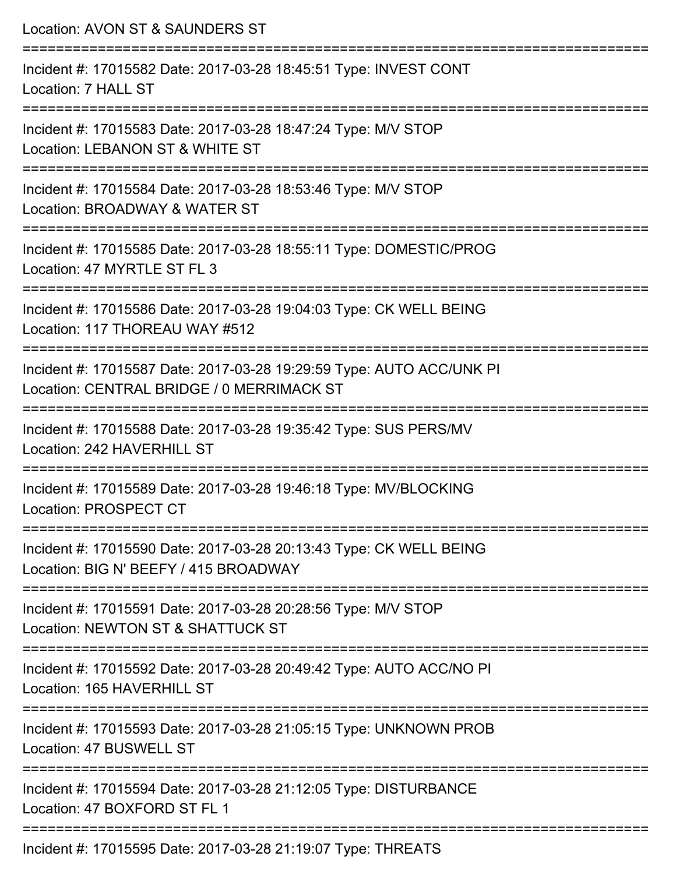| Location: AVON ST & SAUNDERS ST                                                                                                                                           |
|---------------------------------------------------------------------------------------------------------------------------------------------------------------------------|
| Incident #: 17015582 Date: 2017-03-28 18:45:51 Type: INVEST CONT<br>Location: 7 HALL ST                                                                                   |
| Incident #: 17015583 Date: 2017-03-28 18:47:24 Type: M/V STOP<br>Location: LEBANON ST & WHITE ST                                                                          |
| Incident #: 17015584 Date: 2017-03-28 18:53:46 Type: M/V STOP<br>Location: BROADWAY & WATER ST<br>==========================                                              |
| Incident #: 17015585 Date: 2017-03-28 18:55:11 Type: DOMESTIC/PROG<br>Location: 47 MYRTLE ST FL 3                                                                         |
| Incident #: 17015586 Date: 2017-03-28 19:04:03 Type: CK WELL BEING<br>Location: 117 THOREAU WAY #512                                                                      |
| Incident #: 17015587 Date: 2017-03-28 19:29:59 Type: AUTO ACC/UNK PI<br>Location: CENTRAL BRIDGE / 0 MERRIMACK ST                                                         |
| :====================<br>Incident #: 17015588 Date: 2017-03-28 19:35:42 Type: SUS PERS/MV<br>Location: 242 HAVERHILL ST                                                   |
| =====================<br>Incident #: 17015589 Date: 2017-03-28 19:46:18 Type: MV/BLOCKING<br>Location: PROSPECT CT                                                        |
| ==================================<br>--------------------<br>Incident #: 17015590 Date: 2017-03-28 20:13:43 Type: CK WELL BEING<br>Location: BIG N' BEEFY / 415 BROADWAY |
| Incident #: 17015591 Date: 2017-03-28 20:28:56 Type: M/V STOP<br>Location: NEWTON ST & SHATTUCK ST                                                                        |
| Incident #: 17015592 Date: 2017-03-28 20:49:42 Type: AUTO ACC/NO PI<br>Location: 165 HAVERHILL ST                                                                         |
| Incident #: 17015593 Date: 2017-03-28 21:05:15 Type: UNKNOWN PROB<br>Location: 47 BUSWELL ST                                                                              |
| Incident #: 17015594 Date: 2017-03-28 21:12:05 Type: DISTURBANCE<br>Location: 47 BOXFORD ST FL 1                                                                          |
| Incident #: 17015595 Date: 2017-03-28 21:19:07 Type: THREATS                                                                                                              |